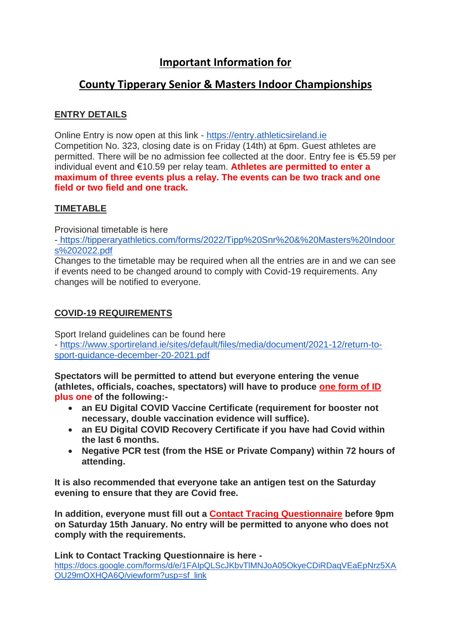# **Important Information for**

# **County Tipperary Senior & Masters Indoor Championships**

## **ENTRY DETAILS**

Online Entry is now open at this link - [https://entry.athleticsireland.ie](https://entry.athleticsireland.ie/#/showentries) Competition No. 323, closing date is on Friday (14th) at 6pm. Guest athletes are permitted. There will be no admission fee collected at the door. Entry fee is €5.59 per individual event and €10.59 per relay team. **Athletes are permitted to enter a maximum of three events plus a relay. The events can be two track and one field or two field and one track.**

### **TIMETABLE**

Provisional timetable is here

- [https://tipperaryathletics.com/forms/2022/Tipp%20Snr%20&%20Masters%20Indoor](https://tipperaryathletics.com/forms/2022/Tipp%20Snr%20&%20Masters%20Indoors%202022.pdf) [s%202022.pdf](https://tipperaryathletics.com/forms/2022/Tipp%20Snr%20&%20Masters%20Indoors%202022.pdf)

Changes to the timetable may be required when all the entries are in and we can see if events need to be changed around to comply with Covid-19 requirements. Any changes will be notified to everyone.

### **COVID-19 REQUIREMENTS**

Sport Ireland guidelines can be found here - [https://www.sportireland.ie/sites/default/files/media/document/2021-12/return-to](https://www.sportireland.ie/sites/default/files/media/document/2021-12/return-to-sport-guidance-december-20-2021.pdf)[sport-guidance-december-20-2021.pdf](https://www.sportireland.ie/sites/default/files/media/document/2021-12/return-to-sport-guidance-december-20-2021.pdf)

**Spectators will be permitted to attend but everyone entering the venue (athletes, officials, coaches, spectators) will have to produce one form of ID plus one of the following:-**

- **an EU Digital COVID Vaccine Certificate (requirement for booster not necessary, double vaccination evidence will suffice).**
- **an EU Digital COVID Recovery Certificate if you have had Covid within the last 6 months.**
- **Negative PCR test (from the HSE or Private Company) within 72 hours of attending.**

**It is also recommended that everyone take an antigen test on the Saturday evening to ensure that they are Covid free.**

**In addition, everyone must fill out a Contact Tracing Questionnaire before 9pm on Saturday 15th January. No entry will be permitted to anyone who does not comply with the requirements.** 

**Link to Contact Tracking Questionnaire is here**  [https://docs.google.com/forms/d/e/1FAIpQLScJKbvTlMNJoA05OkyeCDiRDaqVEaEpNrz5XA](https://docs.google.com/forms/d/e/1FAIpQLScJKbvTlMNJoA05OkyeCDiRDaqVEaEpNrz5XAOU29mOXHQA6Q/viewform?usp=sf_link) [OU29mOXHQA6Q/viewform?usp=sf\\_link](https://docs.google.com/forms/d/e/1FAIpQLScJKbvTlMNJoA05OkyeCDiRDaqVEaEpNrz5XAOU29mOXHQA6Q/viewform?usp=sf_link)